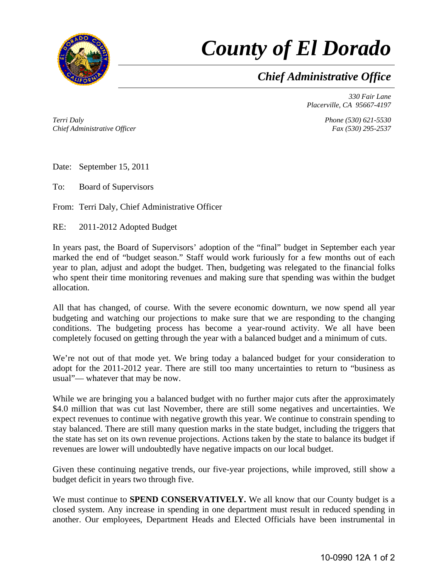

## *County of El Dorado*

*Chief Administrative Office*

*330 Fair Lane Placerville, CA 95667-4197* 

*Terri Daly Chief Administrative Officer* *Phone (530) 621-5530 Fax (530) 295-2537* 

Date: September 15, 2011

To: Board of Supervisors

From: Terri Daly, Chief Administrative Officer

RE: 2011-2012 Adopted Budget

In years past, the Board of Supervisors' adoption of the "final" budget in September each year marked the end of "budget season." Staff would work furiously for a few months out of each year to plan, adjust and adopt the budget. Then, budgeting was relegated to the financial folks who spent their time monitoring revenues and making sure that spending was within the budget allocation.

All that has changed, of course. With the severe economic downturn, we now spend all year budgeting and watching our projections to make sure that we are responding to the changing conditions. The budgeting process has become a year-round activity. We all have been completely focused on getting through the year with a balanced budget and a minimum of cuts.

We're not out of that mode yet. We bring today a balanced budget for your consideration to adopt for the 2011-2012 year. There are still too many uncertainties to return to "business as usual"— whatever that may be now.

While we are bringing you a balanced budget with no further major cuts after the approximately \$4.0 million that was cut last November, there are still some negatives and uncertainties. We expect revenues to continue with negative growth this year. We continue to constrain spending to stay balanced. There are still many question marks in the state budget, including the triggers that the state has set on its own revenue projections. Actions taken by the state to balance its budget if revenues are lower will undoubtedly have negative impacts on our local budget.

Given these continuing negative trends, our five-year projections, while improved, still show a budget deficit in years two through five.

We must continue to **SPEND CONSERVATIVELY**. We all know that our County budget is a closed system. Any increase in spending in one department must result in reduced spending in another. Our employees, Department Heads and Elected Officials have been instrumental in